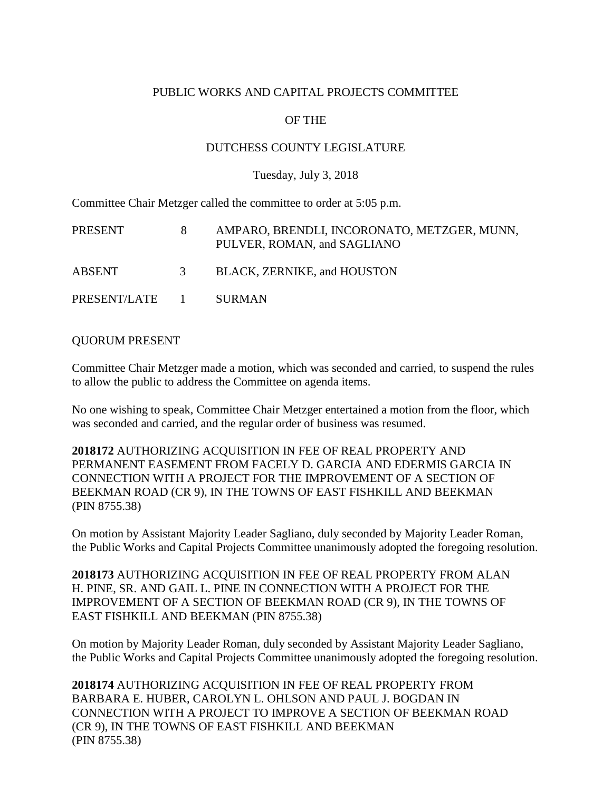### PUBLIC WORKS AND CAPITAL PROJECTS COMMITTEE

## OF THE

### DUTCHESS COUNTY LEGISLATURE

#### Tuesday, July 3, 2018

Committee Chair Metzger called the committee to order at 5:05 p.m.

| PRESENT        |   | AMPARO, BRENDLI, INCORONATO, METZGER, MUNN,<br>PULVER, ROMAN, and SAGLIANO |
|----------------|---|----------------------------------------------------------------------------|
| <b>ABSENT</b>  | 3 | BLACK, ZERNIKE, and HOUSTON                                                |
| PRESENT/LATE 1 |   | <b>SURMAN</b>                                                              |

#### QUORUM PRESENT

Committee Chair Metzger made a motion, which was seconded and carried, to suspend the rules to allow the public to address the Committee on agenda items.

No one wishing to speak, Committee Chair Metzger entertained a motion from the floor, which was seconded and carried, and the regular order of business was resumed.

**2018172** AUTHORIZING ACQUISITION IN FEE OF REAL PROPERTY AND PERMANENT EASEMENT FROM FACELY D. GARCIA AND EDERMIS GARCIA IN CONNECTION WITH A PROJECT FOR THE IMPROVEMENT OF A SECTION OF BEEKMAN ROAD (CR 9), IN THE TOWNS OF EAST FISHKILL AND BEEKMAN (PIN 8755.38)

On motion by Assistant Majority Leader Sagliano, duly seconded by Majority Leader Roman, the Public Works and Capital Projects Committee unanimously adopted the foregoing resolution.

**2018173** AUTHORIZING ACQUISITION IN FEE OF REAL PROPERTY FROM ALAN H. PINE, SR. AND GAIL L. PINE IN CONNECTION WITH A PROJECT FOR THE IMPROVEMENT OF A SECTION OF BEEKMAN ROAD (CR 9), IN THE TOWNS OF EAST FISHKILL AND BEEKMAN (PIN 8755.38)

On motion by Majority Leader Roman, duly seconded by Assistant Majority Leader Sagliano, the Public Works and Capital Projects Committee unanimously adopted the foregoing resolution.

**2018174** AUTHORIZING ACQUISITION IN FEE OF REAL PROPERTY FROM BARBARA E. HUBER, CAROLYN L. OHLSON AND PAUL J. BOGDAN IN CONNECTION WITH A PROJECT TO IMPROVE A SECTION OF BEEKMAN ROAD (CR 9), IN THE TOWNS OF EAST FISHKILL AND BEEKMAN (PIN 8755.38)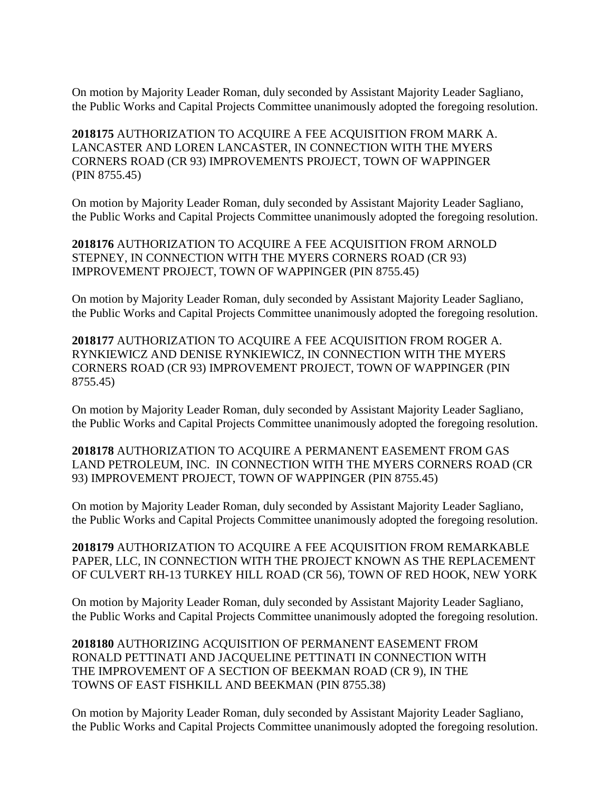On motion by Majority Leader Roman, duly seconded by Assistant Majority Leader Sagliano, the Public Works and Capital Projects Committee unanimously adopted the foregoing resolution.

**2018175** AUTHORIZATION TO ACQUIRE A FEE ACQUISITION FROM MARK A. LANCASTER AND LOREN LANCASTER, IN CONNECTION WITH THE MYERS CORNERS ROAD (CR 93) IMPROVEMENTS PROJECT, TOWN OF WAPPINGER (PIN 8755.45)

On motion by Majority Leader Roman, duly seconded by Assistant Majority Leader Sagliano, the Public Works and Capital Projects Committee unanimously adopted the foregoing resolution.

**2018176** AUTHORIZATION TO ACQUIRE A FEE ACQUISITION FROM ARNOLD STEPNEY, IN CONNECTION WITH THE MYERS CORNERS ROAD (CR 93) IMPROVEMENT PROJECT, TOWN OF WAPPINGER (PIN 8755.45)

On motion by Majority Leader Roman, duly seconded by Assistant Majority Leader Sagliano, the Public Works and Capital Projects Committee unanimously adopted the foregoing resolution.

**2018177** AUTHORIZATION TO ACQUIRE A FEE ACQUISITION FROM ROGER A. RYNKIEWICZ AND DENISE RYNKIEWICZ, IN CONNECTION WITH THE MYERS CORNERS ROAD (CR 93) IMPROVEMENT PROJECT, TOWN OF WAPPINGER (PIN 8755.45)

On motion by Majority Leader Roman, duly seconded by Assistant Majority Leader Sagliano, the Public Works and Capital Projects Committee unanimously adopted the foregoing resolution.

**2018178** AUTHORIZATION TO ACQUIRE A PERMANENT EASEMENT FROM GAS LAND PETROLEUM, INC. IN CONNECTION WITH THE MYERS CORNERS ROAD (CR 93) IMPROVEMENT PROJECT, TOWN OF WAPPINGER (PIN 8755.45)

On motion by Majority Leader Roman, duly seconded by Assistant Majority Leader Sagliano, the Public Works and Capital Projects Committee unanimously adopted the foregoing resolution.

**2018179** AUTHORIZATION TO ACQUIRE A FEE ACQUISITION FROM REMARKABLE PAPER, LLC, IN CONNECTION WITH THE PROJECT KNOWN AS THE REPLACEMENT OF CULVERT RH-13 TURKEY HILL ROAD (CR 56), TOWN OF RED HOOK, NEW YORK

On motion by Majority Leader Roman, duly seconded by Assistant Majority Leader Sagliano, the Public Works and Capital Projects Committee unanimously adopted the foregoing resolution.

**2018180** AUTHORIZING ACQUISITION OF PERMANENT EASEMENT FROM RONALD PETTINATI AND JACQUELINE PETTINATI IN CONNECTION WITH THE IMPROVEMENT OF A SECTION OF BEEKMAN ROAD (CR 9), IN THE TOWNS OF EAST FISHKILL AND BEEKMAN (PIN 8755.38)

On motion by Majority Leader Roman, duly seconded by Assistant Majority Leader Sagliano, the Public Works and Capital Projects Committee unanimously adopted the foregoing resolution.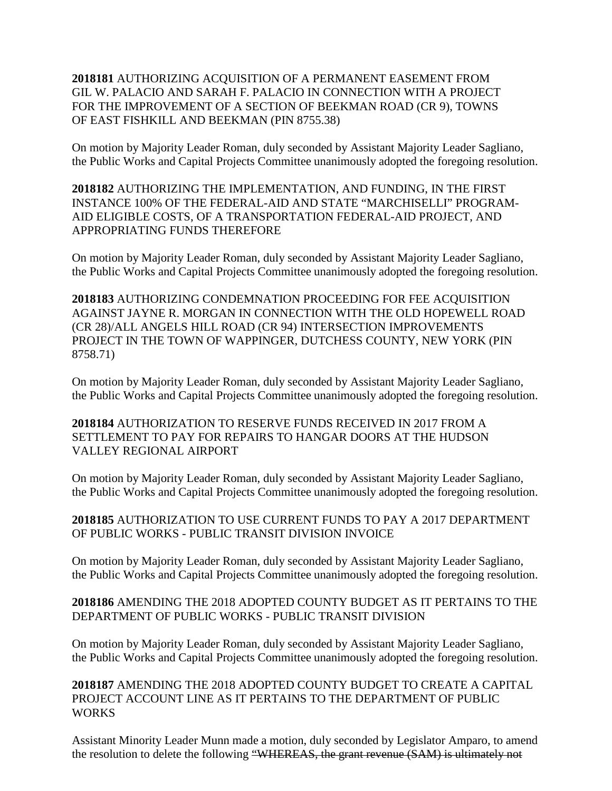## **2018181** AUTHORIZING ACQUISITION OF A PERMANENT EASEMENT FROM GIL W. PALACIO AND SARAH F. PALACIO IN CONNECTION WITH A PROJECT FOR THE IMPROVEMENT OF A SECTION OF BEEKMAN ROAD (CR 9), TOWNS OF EAST FISHKILL AND BEEKMAN (PIN 8755.38)

On motion by Majority Leader Roman, duly seconded by Assistant Majority Leader Sagliano, the Public Works and Capital Projects Committee unanimously adopted the foregoing resolution.

**2018182** AUTHORIZING THE IMPLEMENTATION, AND FUNDING, IN THE FIRST INSTANCE 100% OF THE FEDERAL-AID AND STATE "MARCHISELLI" PROGRAM-AID ELIGIBLE COSTS, OF A TRANSPORTATION FEDERAL-AID PROJECT, AND APPROPRIATING FUNDS THEREFORE

On motion by Majority Leader Roman, duly seconded by Assistant Majority Leader Sagliano, the Public Works and Capital Projects Committee unanimously adopted the foregoing resolution.

**2018183** AUTHORIZING CONDEMNATION PROCEEDING FOR FEE ACQUISITION AGAINST JAYNE R. MORGAN IN CONNECTION WITH THE OLD HOPEWELL ROAD (CR 28)/ALL ANGELS HILL ROAD (CR 94) INTERSECTION IMPROVEMENTS PROJECT IN THE TOWN OF WAPPINGER, DUTCHESS COUNTY, NEW YORK (PIN 8758.71)

On motion by Majority Leader Roman, duly seconded by Assistant Majority Leader Sagliano, the Public Works and Capital Projects Committee unanimously adopted the foregoing resolution.

**2018184** AUTHORIZATION TO RESERVE FUNDS RECEIVED IN 2017 FROM A SETTLEMENT TO PAY FOR REPAIRS TO HANGAR DOORS AT THE HUDSON VALLEY REGIONAL AIRPORT

On motion by Majority Leader Roman, duly seconded by Assistant Majority Leader Sagliano, the Public Works and Capital Projects Committee unanimously adopted the foregoing resolution.

**2018185** AUTHORIZATION TO USE CURRENT FUNDS TO PAY A 2017 DEPARTMENT OF PUBLIC WORKS - PUBLIC TRANSIT DIVISION INVOICE

On motion by Majority Leader Roman, duly seconded by Assistant Majority Leader Sagliano, the Public Works and Capital Projects Committee unanimously adopted the foregoing resolution.

# **2018186** AMENDING THE 2018 ADOPTED COUNTY BUDGET AS IT PERTAINS TO THE DEPARTMENT OF PUBLIC WORKS - PUBLIC TRANSIT DIVISION

On motion by Majority Leader Roman, duly seconded by Assistant Majority Leader Sagliano, the Public Works and Capital Projects Committee unanimously adopted the foregoing resolution.

**2018187** AMENDING THE 2018 ADOPTED COUNTY BUDGET TO CREATE A CAPITAL PROJECT ACCOUNT LINE AS IT PERTAINS TO THE DEPARTMENT OF PUBLIC **WORKS** 

Assistant Minority Leader Munn made a motion, duly seconded by Legislator Amparo, to amend the resolution to delete the following "WHEREAS, the grant revenue (SAM) is ultimately not